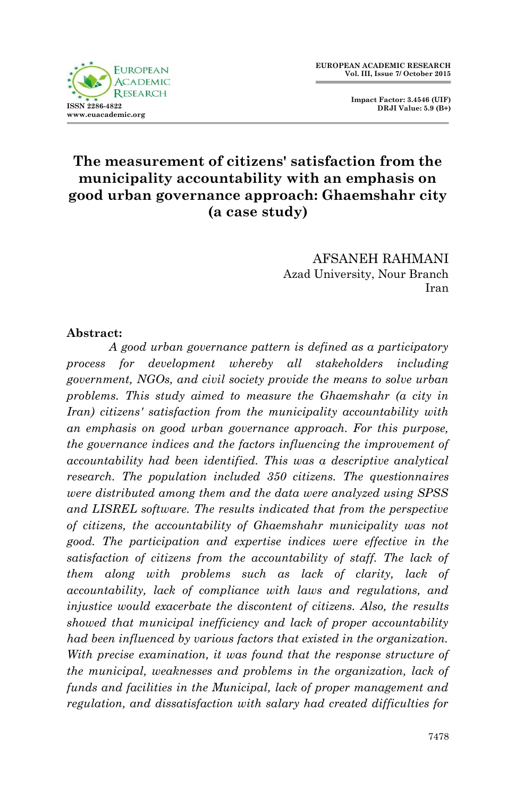

 **Impact Factor: 3.4546 (UIF) DRJI Value: 5.9 (B+)**

# **The measurement of citizens' satisfaction from the municipality accountability with an emphasis on good urban governance approach: Ghaemshahr city (a case study)**

AFSANEH RAHMANI Azad University, Nour Branch Iran

#### **Abstract:**

*A good urban governance pattern is defined as a participatory process for development whereby all stakeholders including government, NGOs, and civil society provide the means to solve urban problems. This study aimed to measure the Ghaemshahr (a city in Iran) citizens' satisfaction from the municipality accountability with an emphasis on good urban governance approach. For this purpose, the governance indices and the factors influencing the improvement of accountability had been identified. This was a descriptive analytical research. The population included 350 citizens. The questionnaires were distributed among them and the data were analyzed using SPSS and LISREL software. The results indicated that from the perspective of citizens, the accountability of Ghaemshahr municipality was not good. The participation and expertise indices were effective in the satisfaction of citizens from the accountability of staff. The lack of them along with problems such as lack of clarity, lack of accountability, lack of compliance with laws and regulations, and injustice would exacerbate the discontent of citizens. Also, the results showed that municipal inefficiency and lack of proper accountability had been influenced by various factors that existed in the organization. With precise examination, it was found that the response structure of the municipal, weaknesses and problems in the organization, lack of funds and facilities in the Municipal, lack of proper management and regulation, and dissatisfaction with salary had created difficulties for*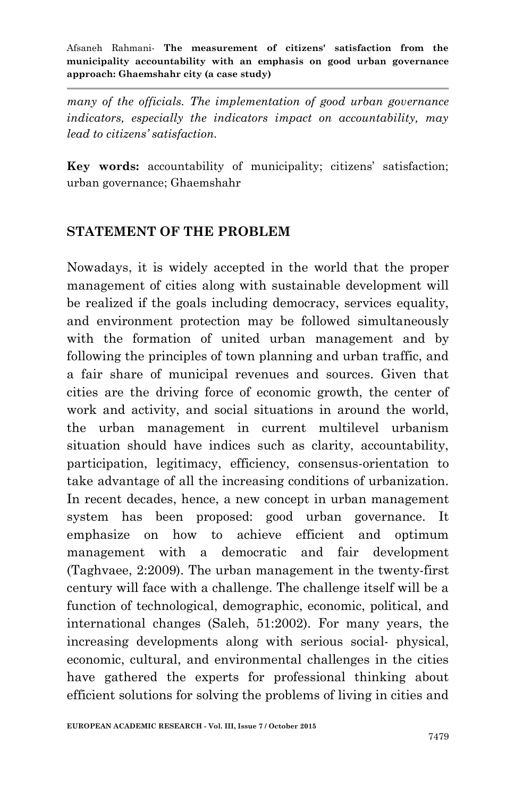*many of the officials. The implementation of good urban governance indicators, especially the indicators impact on accountability, may lead to citizens' satisfaction.*

**Key words:** accountability of municipality; citizens' satisfaction; urban governance; Ghaemshahr

### **STATEMENT OF THE PROBLEM**

Nowadays, it is widely accepted in the world that the proper management of cities along with sustainable development will be realized if the goals including democracy, services equality, and environment protection may be followed simultaneously with the formation of united urban management and by following the principles of town planning and urban traffic, and a fair share of municipal revenues and sources. Given that cities are the driving force of economic growth, the center of work and activity, and social situations in around the world, the urban management in current multilevel urbanism situation should have indices such as clarity, accountability, participation, legitimacy, efficiency, consensus-orientation to take advantage of all the increasing conditions of urbanization. In recent decades, hence, a new concept in urban management system has been proposed: good urban governance. It emphasize on how to achieve efficient and optimum management with a democratic and fair development (Taghvaee, 2:2009). The urban management in the twenty-first century will face with a challenge. The challenge itself will be a function of technological, demographic, economic, political, and international changes (Saleh, 51:2002). For many years, the increasing developments along with serious social- physical, economic, cultural, and environmental challenges in the cities have gathered the experts for professional thinking about efficient solutions for solving the problems of living in cities and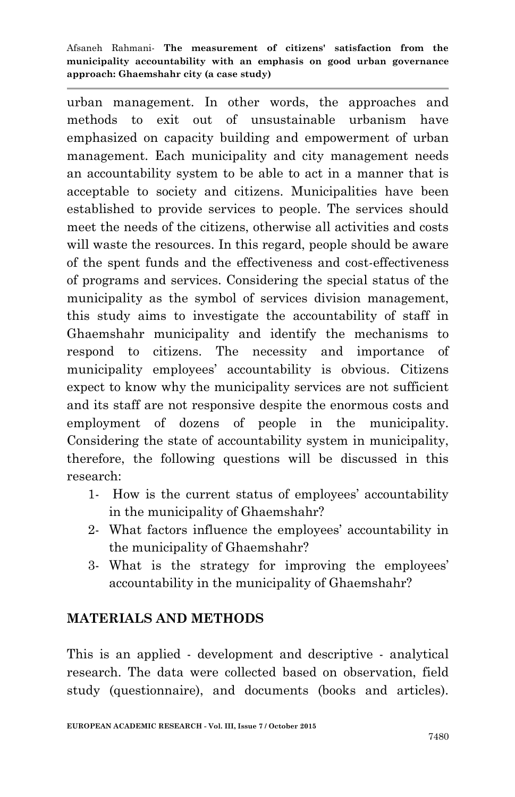urban management. In other words, the approaches and methods to exit out of unsustainable urbanism have emphasized on capacity building and empowerment of urban management. Each municipality and city management needs an accountability system to be able to act in a manner that is acceptable to society and citizens. Municipalities have been established to provide services to people. The services should meet the needs of the citizens, otherwise all activities and costs will waste the resources. In this regard, people should be aware of the spent funds and the effectiveness and cost-effectiveness of programs and services. Considering the special status of the municipality as the symbol of services division management, this study aims to investigate the accountability of staff in Ghaemshahr municipality and identify the mechanisms to respond to citizens. The necessity and importance of municipality employees' accountability is obvious. Citizens expect to know why the municipality services are not sufficient and its staff are not responsive despite the enormous costs and employment of dozens of people in the municipality. Considering the state of accountability system in municipality, therefore, the following questions will be discussed in this research:

- 1- How is the current status of employees' accountability in the municipality of Ghaemshahr?
- 2- What factors influence the employees' accountability in the municipality of Ghaemshahr?
- 3- What is the strategy for improving the employees' accountability in the municipality of Ghaemshahr?

### **MATERIALS AND METHODS**

This is an applied - development and descriptive - analytical research. The data were collected based on observation, field study (questionnaire), and documents (books and articles).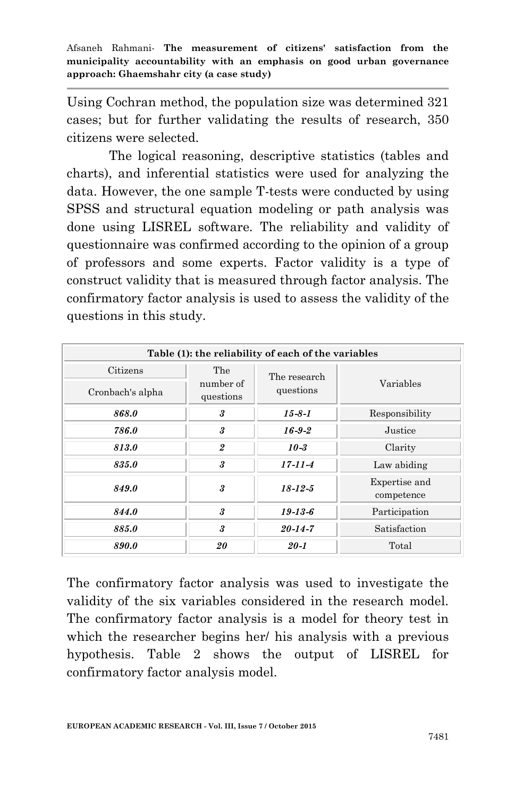Using Cochran method, the population size was determined 321 cases; but for further validating the results of research, 350 citizens were selected.

The logical reasoning, descriptive statistics (tables and charts), and inferential statistics were used for analyzing the data. However, the one sample T-tests were conducted by using SPSS and structural equation modeling or path analysis was done using LISREL software. The reliability and validity of questionnaire was confirmed according to the opinion of a group of professors and some experts. Factor validity is a type of construct validity that is measured through factor analysis. The confirmatory factor analysis is used to assess the validity of the questions in this study.

|                              | Table (1): the reliability of each of the variables |                           |                             |  |  |  |  |
|------------------------------|-----------------------------------------------------|---------------------------|-----------------------------|--|--|--|--|
| Citizens<br>Cronbach's alpha | The<br>number of<br>questions                       | The research<br>questions | Variables                   |  |  |  |  |
| 868.0                        | 3                                                   | $15 - 8 - 1$              | Responsibility              |  |  |  |  |
| 786.0                        | 3                                                   | $16 - 9 - 2$              | Justice                     |  |  |  |  |
| 813.0                        | $\mathfrak{p}$                                      | $10 - 3$                  | Clarity                     |  |  |  |  |
| 835.0                        | 3                                                   | $17 - 11 - 4$             | Law abiding                 |  |  |  |  |
| 849.0                        | 3                                                   | $18 - 12 - 5$             | Expertise and<br>competence |  |  |  |  |
| 844.0                        | $\boldsymbol{\mathcal{S}}$                          | $19 - 13 - 6$             | Participation               |  |  |  |  |
| 885.0                        | 3                                                   | $20 - 14 - 7$             | Satisfaction                |  |  |  |  |
| 890.0                        | 20                                                  | $20 - 1$                  | Total                       |  |  |  |  |

The confirmatory factor analysis was used to investigate the validity of the six variables considered in the research model. The confirmatory factor analysis is a model for theory test in which the researcher begins her/ his analysis with a previous hypothesis. Table 2 shows the output of LISREL for confirmatory factor analysis model.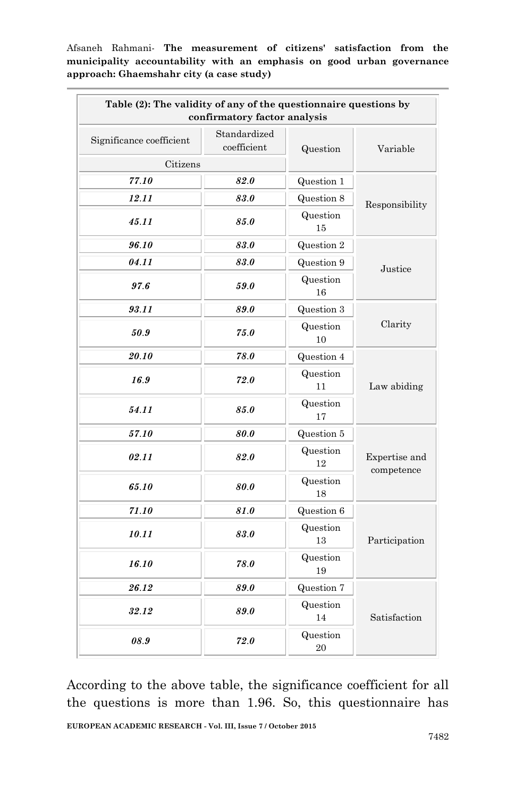| Table (2): The validity of any of the questionnaire questions by<br>confirmatory factor analysis |                             |                |                             |  |  |
|--------------------------------------------------------------------------------------------------|-----------------------------|----------------|-----------------------------|--|--|
| Significance coefficient<br>Citizens                                                             | Standardized<br>coefficient | Question       | Variable                    |  |  |
| 77.10                                                                                            | 82.0                        | Question 1     |                             |  |  |
| 12.11                                                                                            | 83.0                        | Question 8     |                             |  |  |
| 45.11                                                                                            | 85.0                        | Question<br>15 | Responsibility              |  |  |
| 96.10                                                                                            | 83.0                        | Question 2     |                             |  |  |
| 04.11                                                                                            | 83.0                        | Question 9     | Justice                     |  |  |
| 97.6                                                                                             | 59.0                        | Question<br>16 |                             |  |  |
| 93.11                                                                                            | 89.0                        | Question 3     |                             |  |  |
| 50.9                                                                                             | 75.0                        | Question<br>10 | Clarity                     |  |  |
| 20.10                                                                                            | 78.0                        | Question 4     |                             |  |  |
| 16.9                                                                                             | 72.0                        | Question<br>11 | Law abiding                 |  |  |
| 54.11                                                                                            | 85.0                        | Question<br>17 |                             |  |  |
| 57.10                                                                                            | 80.0                        | Question 5     |                             |  |  |
| 02.11                                                                                            | 82.0                        | Question<br>12 | Expertise and<br>competence |  |  |
| 65.10                                                                                            | 80.0                        | Question<br>18 |                             |  |  |
| 71.10                                                                                            | 81.0                        | Question 6     |                             |  |  |
| 10.11                                                                                            | 83.0                        | Question<br>13 | Participation               |  |  |
| 16.10                                                                                            | 78.0                        | Question<br>19 |                             |  |  |
| 26.12                                                                                            | 89.0                        | Question 7     |                             |  |  |
| 32.12                                                                                            | 89.0                        | Question<br>14 | Satisfaction                |  |  |
| 08.9                                                                                             | 72.0                        | Question<br>20 |                             |  |  |

According to the above table, the significance coefficient for all the questions is more than 1.96. So, this questionnaire has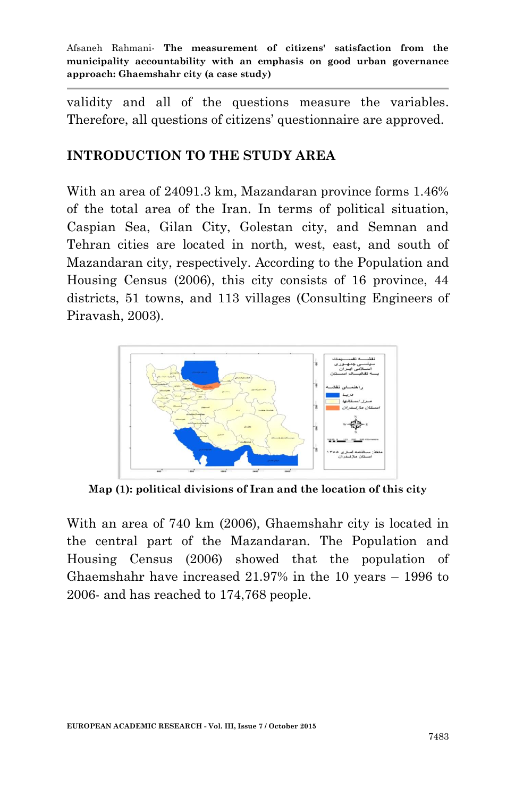validity and all of the questions measure the variables. Therefore, all questions of citizens' questionnaire are approved.

# **INTRODUCTION TO THE STUDY AREA**

With an area of 24091.3 km, Mazandaran province forms 1.46% of the total area of the Iran. In terms of political situation, Caspian Sea, Gilan City, Golestan city, and Semnan and Tehran cities are located in north, west, east, and south of Mazandaran city, respectively. According to the Population and Housing Census (2006), this city consists of 16 province, 44 districts, 51 towns, and 113 villages (Consulting Engineers of Piravash, 2003).



**Map (1): political divisions of Iran and the location of this city**

With an area of 740 km (2006), Ghaemshahr city is located in the central part of the Mazandaran. The Population and Housing Census (2006) showed that the population of Ghaemshahr have increased 21.97% in the 10 years – 1996 to 2006- and has reached to 174,768 people.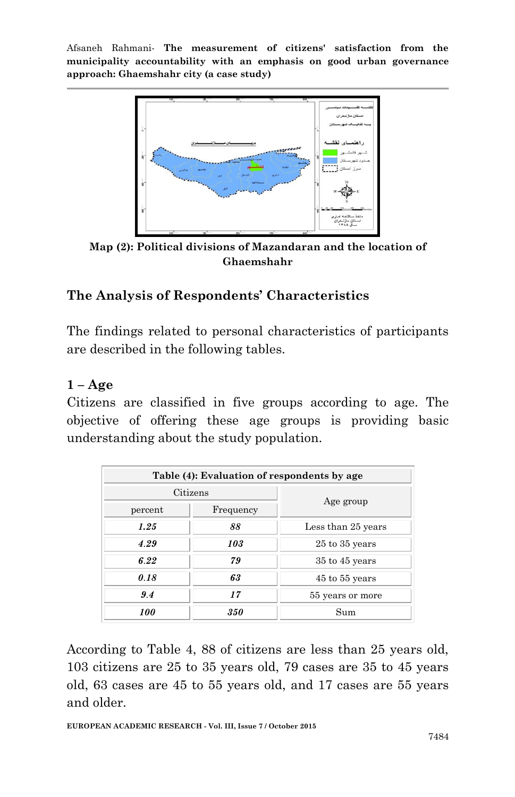

**Map (2): Political divisions of Mazandaran and the location of Ghaemshahr**

# **The Analysis of Respondents' Characteristics**

The findings related to personal characteristics of participants are described in the following tables.

## **1 – Age**

Citizens are classified in five groups according to age. The objective of offering these age groups is providing basic understanding about the study population.

|         | Table (4): Evaluation of respondents by age |                    |  |  |  |
|---------|---------------------------------------------|--------------------|--|--|--|
|         | Citizens                                    |                    |  |  |  |
| percent | Frequency                                   | Age group          |  |  |  |
| 1.25    | 88                                          | Less than 25 years |  |  |  |
| 429     | 103                                         | $25$ to $35$ years |  |  |  |
| 6.22    | 79                                          | $35$ to $45$ years |  |  |  |
| 0.18    | 63                                          | $45$ to $55$ years |  |  |  |
| 9.4     | 17                                          | 55 years or more   |  |  |  |
| 100     | 350                                         | Sum                |  |  |  |

According to Table 4, 88 of citizens are less than 25 years old, 103 citizens are 25 to 35 years old, 79 cases are 35 to 45 years old, 63 cases are 45 to 55 years old, and 17 cases are 55 years and older.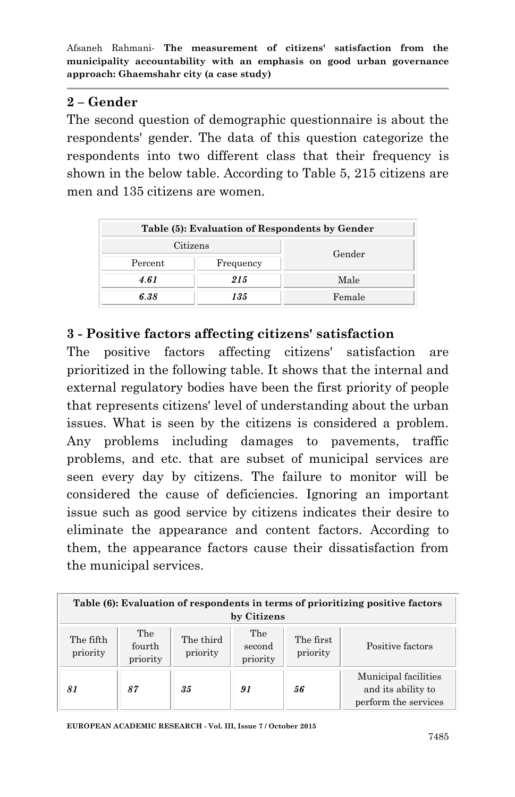## **2 – Gender**

The second question of demographic questionnaire is about the respondents' gender. The data of this question categorize the respondents into two different class that their frequency is shown in the below table. According to Table 5, 215 citizens are men and 135 citizens are women.

|          | Table (5): Evaluation of Respondents by Gender |        |  |  |  |
|----------|------------------------------------------------|--------|--|--|--|
| Citizens |                                                |        |  |  |  |
| Percent  | Frequency                                      | Gender |  |  |  |
| 4.61     | 215                                            | Male   |  |  |  |
| 6.38     | 135                                            | Female |  |  |  |

### **3 - Positive factors affecting citizens' satisfaction**

The positive factors affecting citizens' satisfaction are prioritized in the following table. It shows that the internal and external regulatory bodies have been the first priority of people that represents citizens' level of understanding about the urban issues. What is seen by the citizens is considered a problem. Any problems including damages to pavements, traffic problems, and etc. that are subset of municipal services are seen every day by citizens. The failure to monitor will be considered the cause of deficiencies. Ignoring an important issue such as good service by citizens indicates their desire to eliminate the appearance and content factors. According to them, the appearance factors cause their dissatisfaction from the municipal services.

|                       | Table (6): Evaluation of respondents in terms of prioritizing positive factors<br>by Citizens |                       |                           |                       |                                                                    |
|-----------------------|-----------------------------------------------------------------------------------------------|-----------------------|---------------------------|-----------------------|--------------------------------------------------------------------|
| The fifth<br>priority | The<br>fourth<br>priority                                                                     | The third<br>priority | The<br>second<br>priority | The first<br>priority | Positive factors                                                   |
| 81                    | 87                                                                                            | 35                    | 91                        | 56                    | Municipal facilities<br>and its ability to<br>perform the services |

**EUROPEAN ACADEMIC RESEARCH - Vol. III, Issue 7 / October 2015**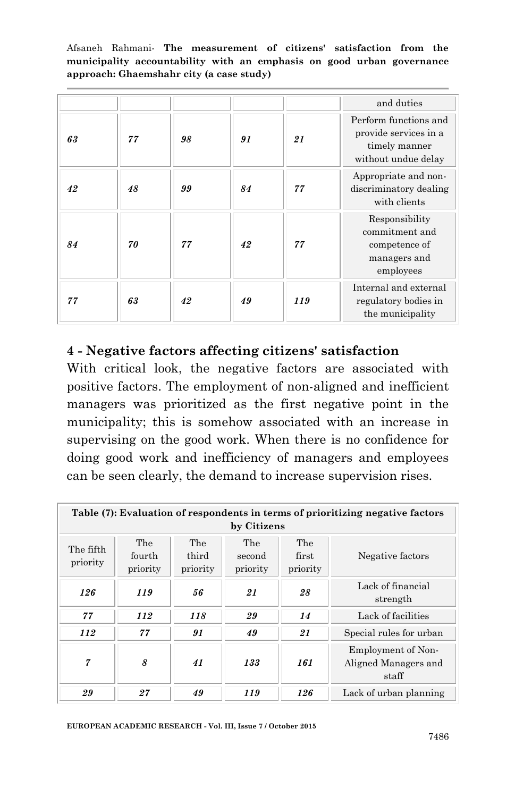|    |    |    |    |     | and duties                                                                             |
|----|----|----|----|-----|----------------------------------------------------------------------------------------|
| 63 | 77 | 98 | 91 | 21  | Perform functions and<br>provide services in a<br>timely manner<br>without undue delay |
| 42 | 48 | 99 | 84 | 77  | Appropriate and non-<br>discriminatory dealing<br>with clients                         |
| 84 | 70 | 77 | 42 | 77  | Responsibility<br>commitment and<br>competence of<br>managers and<br>employees         |
| 77 | 63 | 42 | 49 | 119 | Internal and external<br>regulatory bodies in<br>the municipality                      |

## **4 - Negative factors affecting citizens' satisfaction**

With critical look, the negative factors are associated with positive factors. The employment of non-aligned and inefficient managers was prioritized as the first negative point in the municipality; this is somehow associated with an increase in supervising on the good work. When there is no confidence for doing good work and inefficiency of managers and employees can be seen clearly, the demand to increase supervision rises.

|                       | Table (7): Evaluation of respondents in terms of prioritizing negative factors<br>by Citizens |                          |                           |                          |                                                     |
|-----------------------|-----------------------------------------------------------------------------------------------|--------------------------|---------------------------|--------------------------|-----------------------------------------------------|
| The fifth<br>priority | The<br>fourth<br>priority                                                                     | The<br>third<br>priority | The<br>second<br>priority | The<br>first<br>priority | Negative factors                                    |
| 126                   | 119                                                                                           | 56                       | 21                        | 28                       | Lack of financial<br>strength                       |
| 77                    | 112                                                                                           | 118                      | 29                        | 14                       | Lack of facilities                                  |
| 112                   | 77                                                                                            | 91                       | 49                        | 21                       | Special rules for urban                             |
| 7                     | 8                                                                                             | 41                       | 133                       | 161                      | Employment of Non-<br>Aligned Managers and<br>staff |
| 29                    | 27                                                                                            | 49                       | 119                       | 126                      | Lack of urban planning                              |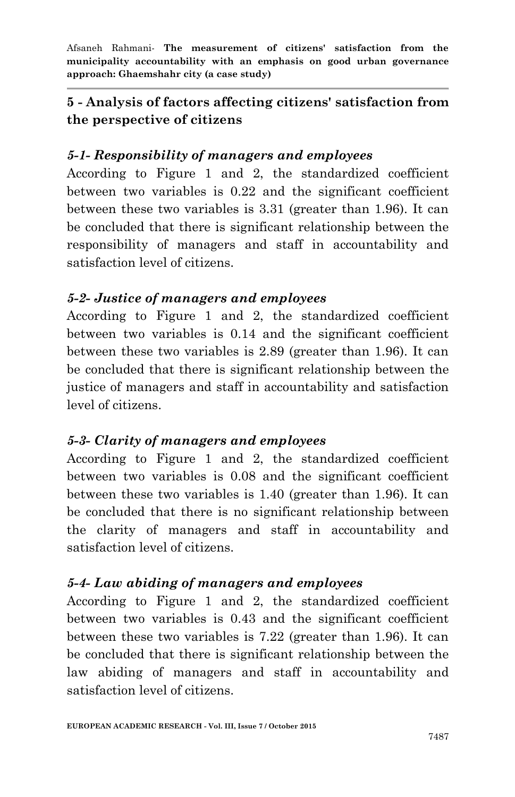# **5 - Analysis of factors affecting citizens' satisfaction from the perspective of citizens**

# *5-1- Responsibility of managers and employees*

According to Figure 1 and 2, the standardized coefficient between two variables is 0.22 and the significant coefficient between these two variables is 3.31 (greater than 1.96). It can be concluded that there is significant relationship between the responsibility of managers and staff in accountability and satisfaction level of citizens.

### *5-2- Justice of managers and employees*

According to Figure 1 and 2, the standardized coefficient between two variables is 0.14 and the significant coefficient between these two variables is 2.89 (greater than 1.96). It can be concluded that there is significant relationship between the justice of managers and staff in accountability and satisfaction level of citizens.

# *5-3- Clarity of managers and employees*

According to Figure 1 and 2, the standardized coefficient between two variables is 0.08 and the significant coefficient between these two variables is 1.40 (greater than 1.96). It can be concluded that there is no significant relationship between the clarity of managers and staff in accountability and satisfaction level of citizens.

# *5-4- Law abiding of managers and employees*

According to Figure 1 and 2, the standardized coefficient between two variables is 0.43 and the significant coefficient between these two variables is 7.22 (greater than 1.96). It can be concluded that there is significant relationship between the law abiding of managers and staff in accountability and satisfaction level of citizens.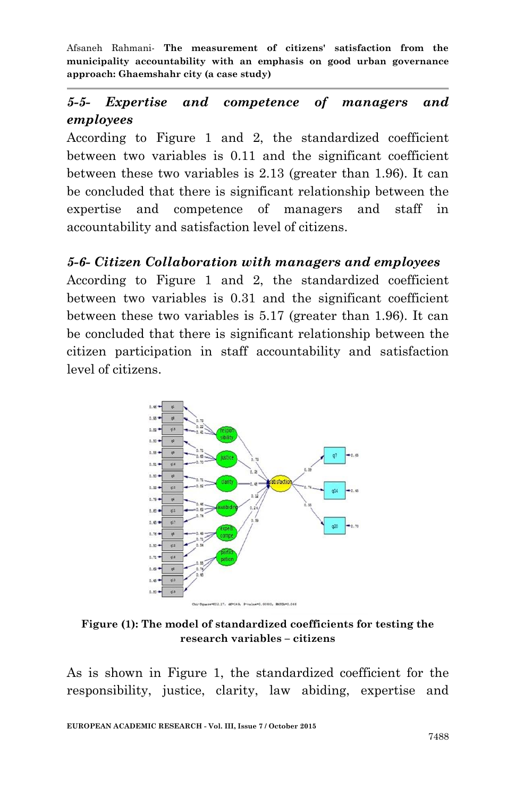# *5-5- Expertise and competence of managers and employees*

According to Figure 1 and 2, the standardized coefficient between two variables is 0.11 and the significant coefficient between these two variables is 2.13 (greater than 1.96). It can be concluded that there is significant relationship between the expertise and competence of managers and staff in accountability and satisfaction level of citizens.

## *5-6- Citizen Collaboration with managers and employees*

According to Figure 1 and 2, the standardized coefficient between two variables is 0.31 and the significant coefficient between these two variables is 5.17 (greater than 1.96). It can be concluded that there is significant relationship between the citizen participation in staff accountability and satisfaction level of citizens.



**Figure (1): The model of standardized coefficients for testing the research variables – citizens**

As is shown in Figure 1, the standardized coefficient for the responsibility, justice, clarity, law abiding, expertise and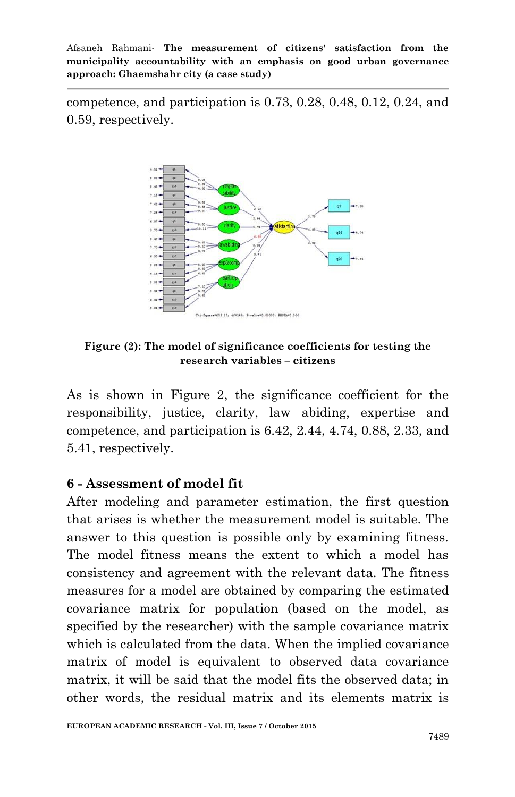competence, and participation is 0.73, 0.28, 0.48, 0.12, 0.24, and 0.59, respectively.



**Figure (2): The model of significance coefficients for testing the research variables – citizens**

As is shown in Figure 2, the significance coefficient for the responsibility, justice, clarity, law abiding, expertise and competence, and participation is 6.42, 2.44, 4.74, 0.88, 2.33, and 5.41, respectively.

#### **6 - Assessment of model fit**

After modeling and parameter estimation, the first question that arises is whether the measurement model is suitable. The answer to this question is possible only by examining fitness. The model fitness means the extent to which a model has consistency and agreement with the relevant data. The fitness measures for a model are obtained by comparing the estimated covariance matrix for population (based on the model, as specified by the researcher) with the sample covariance matrix which is calculated from the data. When the implied covariance matrix of model is equivalent to observed data covariance matrix, it will be said that the model fits the observed data; in other words, the residual matrix and its elements matrix is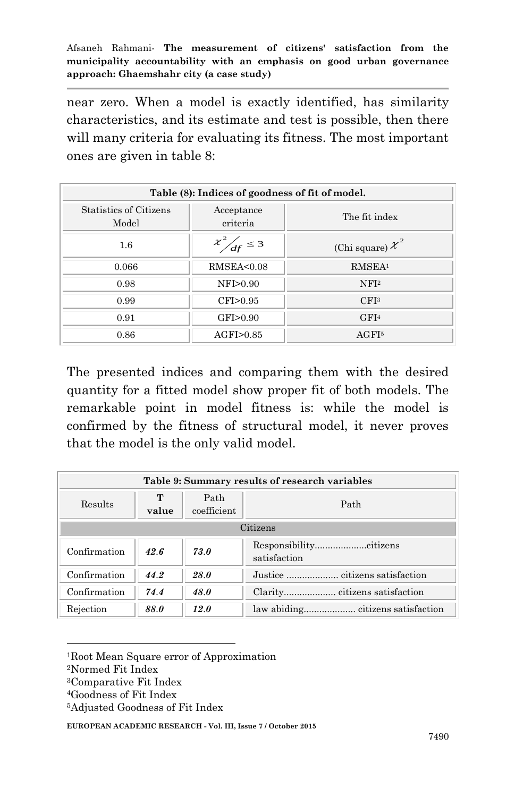near zero. When a model is exactly identified, has similarity characteristics, and its estimate and test is possible, then there will many criteria for evaluating its fitness. The most important ones are given in table 8:

| Table (8): Indices of goodness of fit of model. |                        |                       |  |  |
|-------------------------------------------------|------------------------|-----------------------|--|--|
| <b>Statistics of Citizens</b><br>Model          | Acceptance<br>criteria | The fit index         |  |  |
| 1.6                                             | $\chi^2/df \leq 3$     | (Chi square) $\chi^2$ |  |  |
| 0.066                                           | <b>RMSEA&lt;0.08</b>   | RMSEA <sup>1</sup>    |  |  |
| 0.98                                            | NFI>0.90               | NFI <sup>2</sup>      |  |  |
| 0.99                                            | CFI>0.95               | CFI <sup>3</sup>      |  |  |
| 0.91                                            | GFI>0.90               | GFI <sup>4</sup>      |  |  |
| 0.86                                            | AGFI > 0.85            | AGFI <sup>5</sup>     |  |  |

The presented indices and comparing them with the desired quantity for a fitted model show proper fit of both models. The remarkable point in model fitness is: while the model is confirmed by the fitness of structural model, it never proves that the model is the only valid model.

| Table 9: Summary results of research variables |            |                     |              |  |
|------------------------------------------------|------------|---------------------|--------------|--|
| Results                                        | т<br>value | Path<br>coefficient | Path         |  |
|                                                |            |                     | Citizens     |  |
| Confirmation                                   | 42f        | <b>730</b>          | satisfaction |  |
| Confirmation                                   | 44 2       | 28 O                |              |  |
| Confirmation                                   | 74.4       | 48.0                |              |  |
| Rejection                                      | 88.0       | 120                 |              |  |

**.** <sup>1</sup>Root Mean Square error of Approximation

<sup>2</sup>Normed Fit Index

<sup>3</sup>Comparative Fit Index

5Adjusted Goodness of Fit Index

**EUROPEAN ACADEMIC RESEARCH - Vol. III, Issue 7 / October 2015**

<sup>4</sup>Goodness of Fit Index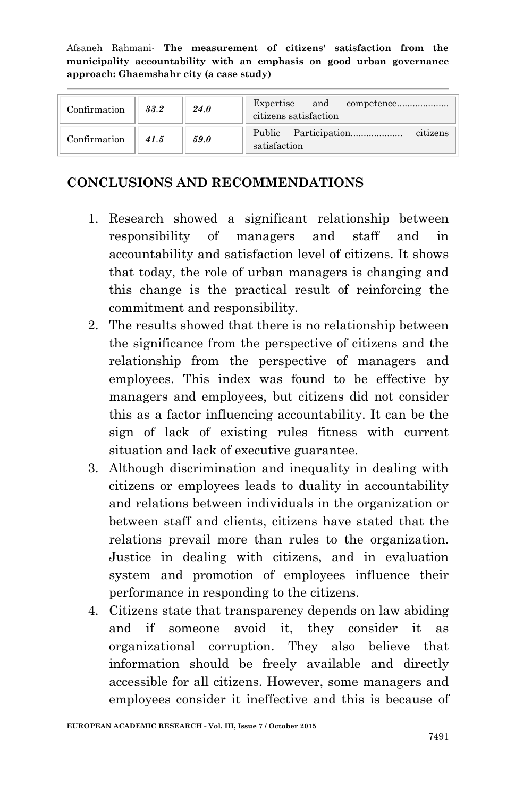Afsaneh Rahmani*-* **The measurement of citizens' satisfaction from the municipality accountability with an emphasis on good urban governance approach: Ghaemshahr city (a case study)**

| Confirmation | 33.2 | 24.0 | citizens satisfaction    |
|--------------|------|------|--------------------------|
| Confirmation | 41.5 | 59.0 | citizens<br>satisfaction |

#### **CONCLUSIONS AND RECOMMENDATIONS**

- 1. Research showed a significant relationship between responsibility of managers and staff and in accountability and satisfaction level of citizens. It shows that today, the role of urban managers is changing and this change is the practical result of reinforcing the commitment and responsibility.
- 2. The results showed that there is no relationship between the significance from the perspective of citizens and the relationship from the perspective of managers and employees. This index was found to be effective by managers and employees, but citizens did not consider this as a factor influencing accountability. It can be the sign of lack of existing rules fitness with current situation and lack of executive guarantee.
- 3. Although discrimination and inequality in dealing with citizens or employees leads to duality in accountability and relations between individuals in the organization or between staff and clients, citizens have stated that the relations prevail more than rules to the organization. Justice in dealing with citizens, and in evaluation system and promotion of employees influence their performance in responding to the citizens.
- 4. Citizens state that transparency depends on law abiding and if someone avoid it, they consider it as organizational corruption. They also believe that information should be freely available and directly accessible for all citizens. However, some managers and employees consider it ineffective and this is because of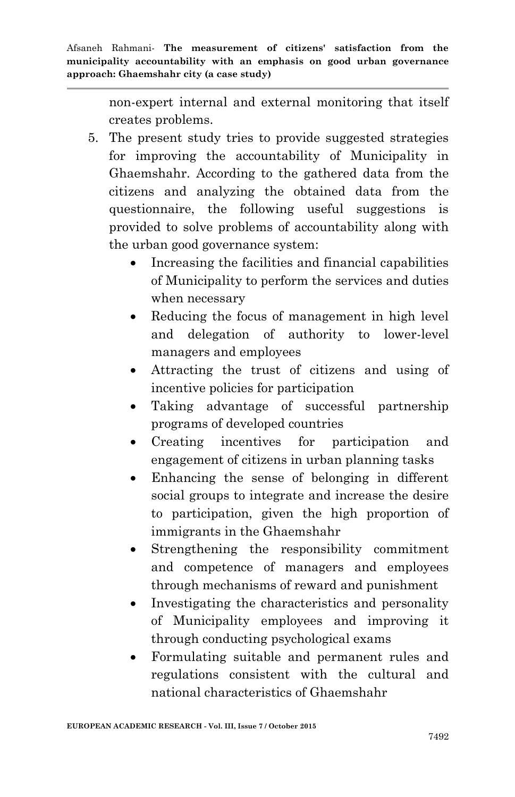non-expert internal and external monitoring that itself creates problems.

- 5. The present study tries to provide suggested strategies for improving the accountability of Municipality in Ghaemshahr. According to the gathered data from the citizens and analyzing the obtained data from the questionnaire, the following useful suggestions is provided to solve problems of accountability along with the urban good governance system:
	- Increasing the facilities and financial capabilities of Municipality to perform the services and duties when necessary
	- Reducing the focus of management in high level and delegation of authority to lower-level managers and employees
	- Attracting the trust of citizens and using of incentive policies for participation
	- Taking advantage of successful partnership programs of developed countries
	- Creating incentives for participation and engagement of citizens in urban planning tasks
	- Enhancing the sense of belonging in different social groups to integrate and increase the desire to participation, given the high proportion of immigrants in the Ghaemshahr
	- Strengthening the responsibility commitment and competence of managers and employees through mechanisms of reward and punishment
	- Investigating the characteristics and personality of Municipality employees and improving it through conducting psychological exams
	- Formulating suitable and permanent rules and regulations consistent with the cultural and national characteristics of Ghaemshahr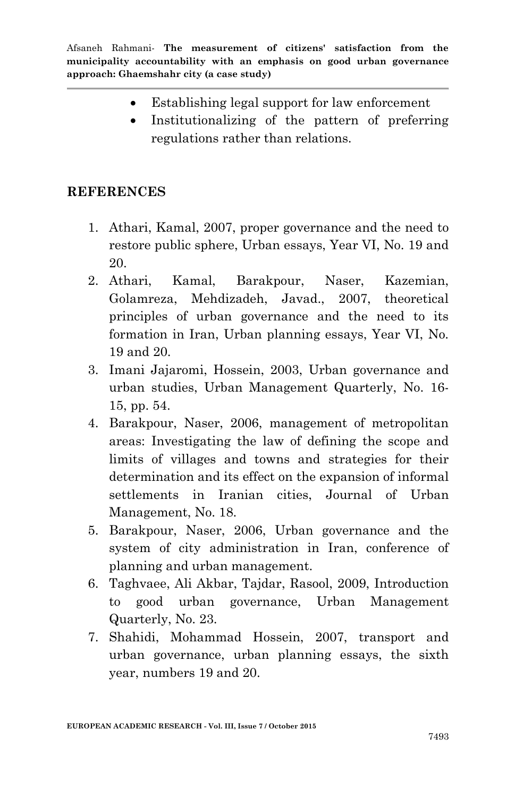- Establishing legal support for law enforcement
- Institutionalizing of the pattern of preferring regulations rather than relations.

#### **REFERENCES**

- 1. Athari, Kamal, 2007, proper governance and the need to restore public sphere, Urban essays, Year VI, No. 19 and 20.
- 2. Athari, Kamal, Barakpour, Naser, Kazemian, Golamreza, Mehdizadeh, Javad., 2007, theoretical principles of urban governance and the need to its formation in Iran, Urban planning essays, Year VI, No. 19 and 20.
- 3. Imani Jajaromi, Hossein, 2003, Urban governance and urban studies, Urban Management Quarterly, No. 16- 15, pp. 54.
- 4. Barakpour, Naser, 2006, management of metropolitan areas: Investigating the law of defining the scope and limits of villages and towns and strategies for their determination and its effect on the expansion of informal settlements in Iranian cities, Journal of Urban Management, No. 18.
- 5. Barakpour, Naser, 2006, Urban governance and the system of city administration in Iran, conference of planning and urban management.
- 6. Taghvaee, Ali Akbar, Tajdar, Rasool, 2009, Introduction to good urban governance, Urban Management Quarterly, No. 23.
- 7. Shahidi, Mohammad Hossein, 2007, transport and urban governance, urban planning essays, the sixth year, numbers 19 and 20.